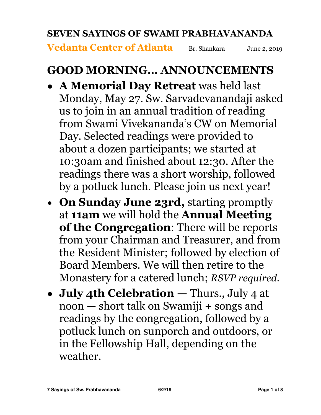#### **SEVEN SAYINGS OF SWAMI PRABHAVANANDA**

**Vedanta Center of Atlanta** Br. Shankara June 2, 2019

#### **GOOD MORNING… ANNOUNCEMENTS**

- **• A Memorial Day Retreat** was held last Monday, May 27. Sw. Sarvadevanandaji asked us to join in an annual tradition of reading from Swami Vivekananda's CW on Memorial Day. Selected readings were provided to about a dozen participants; we started at 10:30am and finished about 12:30. After the readings there was a short worship, followed by a potluck lunch. Please join us next year!
- **On Sunday June 23rd,** starting promptly at **11am** we will hold the **Annual Meeting of the Congregation**: There will be reports from your Chairman and Treasurer, and from the Resident Minister; followed by election of Board Members. We will then retire to the Monastery for a catered lunch; *RSVP required.*
- **• July 4th Celebration** Thurs., July 4 at noon — short talk on Swamiji + songs and readings by the congregation, followed by a potluck lunch on sunporch and outdoors, or in the Fellowship Hall, depending on the weather.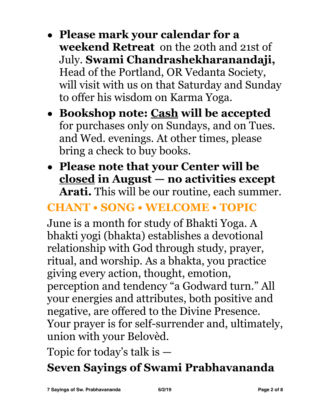- **• Please mark your calendar for a weekend Retreat** on the 20th and 21st of July. **Swami Chandrashekharanandaji,** Head of the Portland, OR Vedanta Society, will visit with us on that Saturday and Sunday to offer his wisdom on Karma Yoga.
- **• Bookshop note: Cash will be accepted** for purchases only on Sundays, and on Tues. and Wed. evenings. At other times, please bring a check to buy books.
- **• Please note that your Center will be closed in August — no activities except Arati.** This will be our routine, each summer.

# **CHANT • SONG • WELCOME • TOPIC**

June is a month for study of Bhakti Yoga. A bhakti yogi (bhakta) establishes a devotional relationship with God through study, prayer, ritual, and worship. As a bhakta, you practice giving every action, thought, emotion, perception and tendency "a Godward turn." All your energies and attributes, both positive and negative, are offered to the Divine Presence. Your prayer is for self-surrender and, ultimately, union with your Belovèd.

Topic for today's talk is —

# **Seven Sayings of Swami Prabhavananda**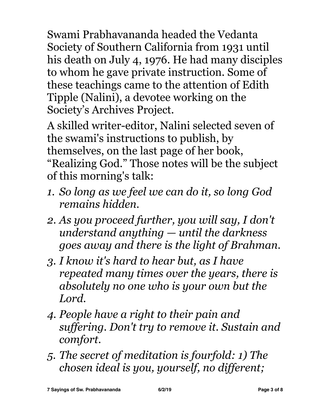Swami Prabhavananda headed the Vedanta Society of Southern California from 1931 until his death on July 4, 1976. He had many disciples to whom he gave private instruction. Some of these teachings came to the attention of Edith Tipple (Nalini), a devotee working on the Society's Archives Project.

A skilled writer-editor, Nalini selected seven of the swami's instructions to publish, by themselves, on the last page of her book, "Realizing God." Those notes will be the subject of this morning's talk:

- *1. So long as we feel we can do it, so long God remains hidden.*
- *2. As you proceed further, you will say, I don't understand anything — until the darkness goes away and there is the light of Brahman.*
- *3. I know it's hard to hear but, as I have repeated many times over the years, there is absolutely no one who is your own but the Lord.*
- *4. People have a right to their pain and suffering. Don't try to remove it. Sustain and comfort.*
- *5. The secret of meditation is fourfold: 1) The chosen ideal is you, yourself, no different;*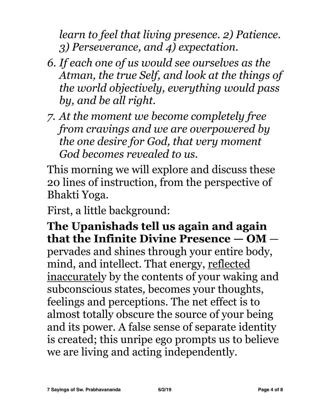*learn to feel that living presence. 2) Patience. 3) Perseverance, and 4) expectation.* 

- *6. If each one of us would see ourselves as the Atman, the true Self, and look at the things of the world objectively, everything would pass by, and be all right.*
- *7. At the moment we become completely free from cravings and we are overpowered by the one desire for God, that very moment God becomes revealed to us.*

This morning we will explore and discuss these 20 lines of instruction, from the perspective of Bhakti Yoga.

First, a little background:

**The Upanishads tell us again and again that the Infinite Divine Presence — OM** pervades and shines through your entire body, mind, and intellect. That energy, reflected inaccurately by the contents of your waking and subconscious states*,* becomes your thoughts, feelings and perceptions. The net effect is to almost totally obscure the source of your being and its power. A false sense of separate identity is created; this unripe ego prompts us to believe we are living and acting independently.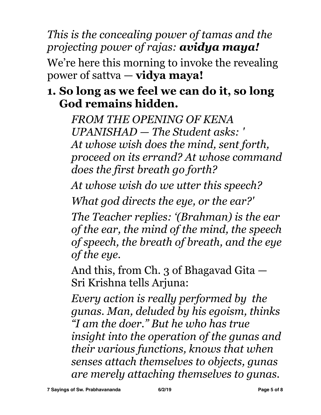*This is the concealing power of tamas and the projecting power of rajas: avidya maya!*

We're here this morning to invoke the revealing power of sattva — **vidya maya!** 

## **1. So long as we feel we can do it, so long God remains hidden.**

*FROM THE OPENING OF KENA UPANISHAD — The Student asks: ' At whose wish does the mind, sent forth, proceed on its errand? At whose command does the first breath go forth?* 

*At whose wish do we utter this speech?* 

*What god directs the eye, or the ear?'* 

*The Teacher replies: '(Brahman) is the ear of the ear, the mind of the mind, the speech of speech, the breath of breath, and the eye of the eye.*

And this, from Ch. 3 of Bhagavad Gita — Sri Krishna tells Arjuna:

*Every action is really performed by the gunas. Man, deluded by his egoism, thinks "I am the doer." But he who has true insight into the operation of the gunas and their various functions, knows that when senses attach themselves to objects, gunas are merely attaching themselves to gunas.*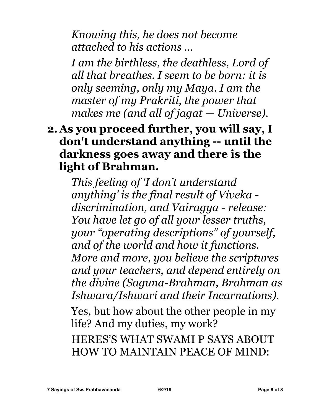*Knowing this, he does not become attached to his actions …* 

*I am the birthless, the deathless, Lord of all that breathes. I seem to be born: it is only seeming, only my Maya. I am the master of my Prakriti, the power that makes me (and all of jagat — Universe).* 

### **2.As you proceed further, you will say, I don't understand anything -- until the darkness goes away and there is the light of Brahman.**

*This feeling of 'I don't understand anything' is the final result of Viveka discrimination, and Vairagya - release: You have let go of all your lesser truths, your "operating descriptions" of yourself, and of the world and how it functions. More and more, you believe the scriptures and your teachers, and depend entirely on the divine (Saguna-Brahman, Brahman as Ishwara/Ishwari and their Incarnations).* 

Yes, but how about the other people in my life? And my duties, my work?

HERES'S WHAT SWAMI P SAYS ABOUT HOW TO MAINTAIN PEACE OF MIND: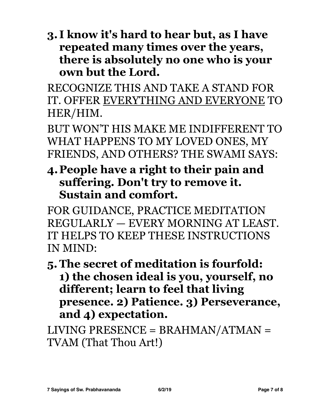**3. I know it's hard to hear but, as I have repeated many times over the years, there is absolutely no one who is your own but the Lord.** 

RECOGNIZE THIS AND TAKE A STAND FOR IT. OFFER EVERYTHING AND EVERYONE TO HER/HIM.

BUT WON'T HIS MAKE ME INDIFFERENT TO WHAT HAPPENS TO MY LOVED ONES, MY FRIENDS, AND OTHERS? THE SWAMI SAYS:

**4.People have a right to their pain and suffering. Don't try to remove it. Sustain and comfort.** 

FOR GUIDANCE, PRACTICE MEDITATION REGULARLY — EVERY MORNING AT LEAST. IT HELPS TO KEEP THESE INSTRUCTIONS IN MIND:

**5.The secret of meditation is fourfold: 1) the chosen ideal is you, yourself, no different; learn to feel that living presence. 2) Patience. 3) Perseverance, and 4) expectation.** 

LIVING PRESENCE = BRAHMAN/ATMAN = TVAM (That Thou Art!)